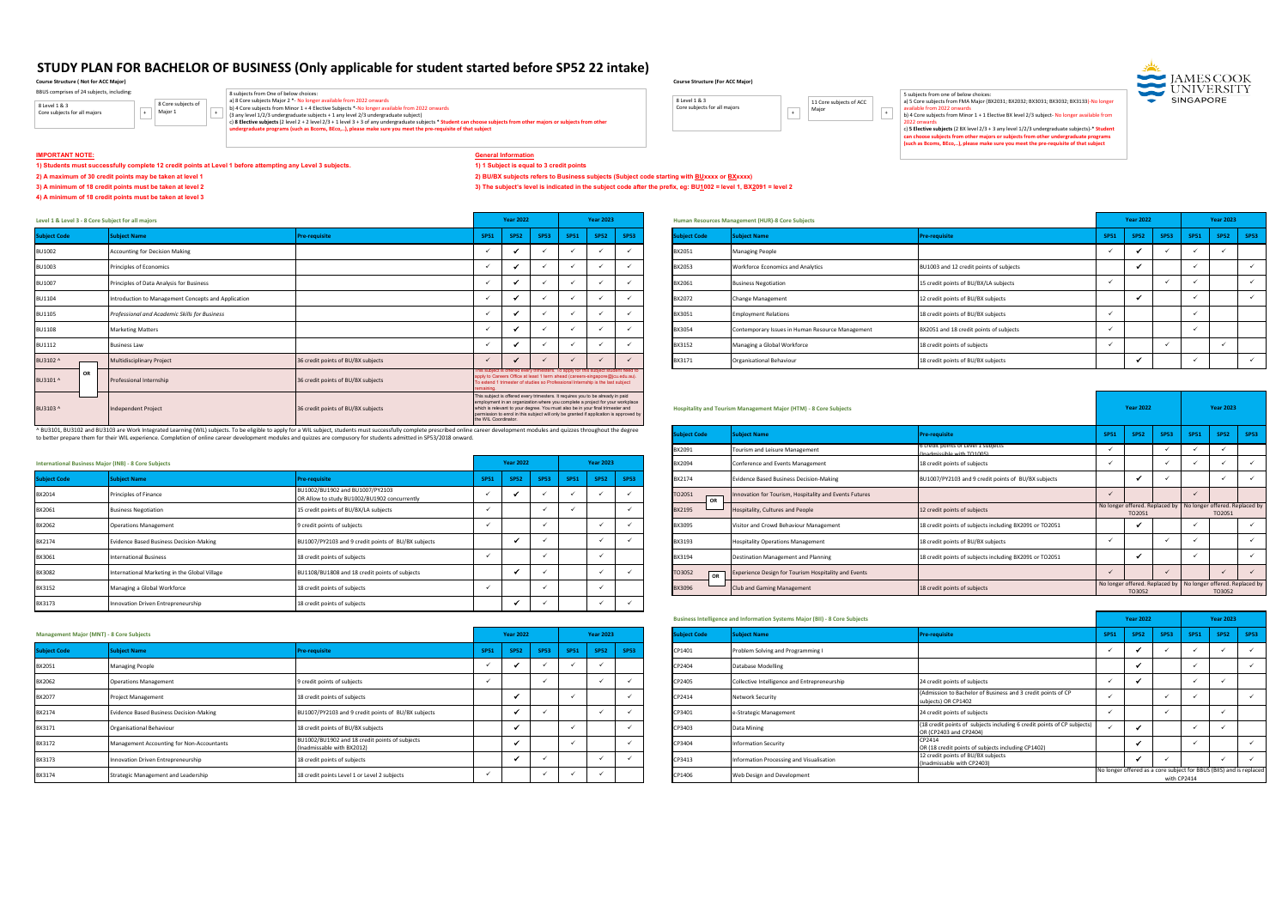## **IMPORTANT NOTE: General Information**

**1) Students must successfully complete 12 credit points at Level 1 before attempting any Level 3 subjects. 1) 1 Subject is equal to 3 credit points**

**3) A minimum of 18 credit points must be taken at level 2 3) The subject's level is indicated in the subject code after the prefix, eg: BU1002 = level 1, BX2091 = level 2**

## **4) A minimum of 18 credit points must be taken at level 3**

<sup>2</sup>) A maximum of 30 credit points may be taken at level 1 *Alexanded at a maximum* of 30 credit points may be taken at level 1

|                     | Level 1 & Level 3 - 8 Core Subject for all majors<br>ubject Name<br><b>Pre-requisite</b><br><b>Accounting for Decision Making</b><br>Principles of Economics<br>Principles of Data Analysis for Business<br>Introduction to Management Concepts and Application<br>Professional and Academic Skills for Business<br><b>Marketing Matters</b><br><b>Business Law</b><br>36 credit points of BU/BX subjects<br>Multidisciplinary Project<br>36 credit points of BU/BX subjects<br>Professional Internship |                                    |                                                                                                        | <b>Year 2022</b> |                                                                                                                                                                                                                                                            |      | <b>Year 2023</b> |             |             | Human Resources Management (HUR)-8 Core Subjects                 |                                         |             | <b>Year 2022</b> |             | <b>Year 2023</b>           |      |
|---------------------|---------------------------------------------------------------------------------------------------------------------------------------------------------------------------------------------------------------------------------------------------------------------------------------------------------------------------------------------------------------------------------------------------------------------------------------------------------------------------------------------------------|------------------------------------|--------------------------------------------------------------------------------------------------------|------------------|------------------------------------------------------------------------------------------------------------------------------------------------------------------------------------------------------------------------------------------------------------|------|------------------|-------------|-------------|------------------------------------------------------------------|-----------------------------------------|-------------|------------------|-------------|----------------------------|------|
| <b>Subject Code</b> |                                                                                                                                                                                                                                                                                                                                                                                                                                                                                                         |                                    | <b>SP51</b>                                                                                            | <b>SP52</b>      | <b>SP53</b>                                                                                                                                                                                                                                                | SP51 | <b>SP52</b>      | <b>SP53</b> | ubject Code | <b>Subject Name</b>                                              | Pre-requisite                           | <b>SP51</b> | <b>SP52</b>      | <b>SP53</b> | <b>SP52</b><br><b>SP51</b> | SP53 |
| <b>BU1002</b>       |                                                                                                                                                                                                                                                                                                                                                                                                                                                                                                         |                                    |                                                                                                        |                  |                                                                                                                                                                                                                                                            |      |                  |             | BX2051      | <b>Managing People</b>                                           |                                         |             |                  |             |                            |      |
| <b>BU1003</b>       |                                                                                                                                                                                                                                                                                                                                                                                                                                                                                                         |                                    |                                                                                                        |                  |                                                                                                                                                                                                                                                            |      |                  |             | BX2053      | <b>Workforce Economics and Analytics</b>                         | BU1003 and 12 credit points of subjects |             |                  |             |                            |      |
| <b>BU1007</b>       |                                                                                                                                                                                                                                                                                                                                                                                                                                                                                                         |                                    |                                                                                                        |                  |                                                                                                                                                                                                                                                            |      |                  |             | BX2061      | <b>Business Negotiation</b>                                      | 15 credit points of BU/BX/LA subjects   |             |                  |             |                            |      |
| <b>BU1104</b>       |                                                                                                                                                                                                                                                                                                                                                                                                                                                                                                         |                                    |                                                                                                        |                  |                                                                                                                                                                                                                                                            |      |                  |             | BX2072      | <b>Change Management</b>                                         | 12 credit points of BU/BX subjects      |             |                  |             |                            |      |
| <b>BU1105</b>       |                                                                                                                                                                                                                                                                                                                                                                                                                                                                                                         |                                    |                                                                                                        |                  |                                                                                                                                                                                                                                                            |      |                  |             | BX3051      | <b>Employment Relations</b>                                      | 18 credit points of BU/BX subjects      |             |                  |             |                            |      |
| <b>BU1108</b>       |                                                                                                                                                                                                                                                                                                                                                                                                                                                                                                         |                                    |                                                                                                        |                  |                                                                                                                                                                                                                                                            |      |                  |             | BX3054      | Contemporary Issues in Human Resource Management                 | BX2051 and 18 credit points of subjects |             |                  |             |                            |      |
| <b>BU1112</b>       |                                                                                                                                                                                                                                                                                                                                                                                                                                                                                                         |                                    |                                                                                                        |                  |                                                                                                                                                                                                                                                            |      |                  |             | BX3152      | Managing a Global Workforce                                      | 18 credit points of subjects            |             |                  |             |                            |      |
| BU3102 /            |                                                                                                                                                                                                                                                                                                                                                                                                                                                                                                         |                                    |                                                                                                        |                  |                                                                                                                                                                                                                                                            |      |                  |             | BX3171      | Organisational Behaviour                                         | 18 credit points of BU/BX subjects      |             |                  |             |                            |      |
| OR<br>BU3101 ^      |                                                                                                                                                                                                                                                                                                                                                                                                                                                                                                         |                                    |                                                                                                        |                  | This subject is offered every trimesters. To apply for this subject student need to<br>apply to Careers Office at least 1 term ahead (careers-singapore@jcu.edu.au).<br>To extend 1 trimester of studies so Professional Internship is the last subject    |      |                  |             |             |                                                                  |                                         |             |                  |             |                            |      |
| BU3103 ^            | Independent Project                                                                                                                                                                                                                                                                                                                                                                                                                                                                                     | 36 credit points of BU/BX subjects | which is relevant to your degree. You must also be in your final trimester and<br>the WIL Coordinator. |                  | This subject is offered every trimesters. It requires you to be already in paid<br>employment in an organization where you complete a project for your workplace<br>permission to enrol in this subject will only be granted if application is approved by |      |                  |             |             | Hospitality and Tourism Management Major (HTM) - 8 Core Subjects |                                         |             | <b>Year 2022</b> |             | <b>Year 2023</b>           |      |

|                     | <b>International Business Major (INB) - 8 Core Subjects</b> |                                                                                 |             | <b>Year 2022</b>                                       |             | <b>Year 2023</b> |             | BX2094        |                                | Conference and Events Management                       | 18 credit points of subjects                            |        |                                                           |        |  |
|---------------------|-------------------------------------------------------------|---------------------------------------------------------------------------------|-------------|--------------------------------------------------------|-------------|------------------|-------------|---------------|--------------------------------|--------------------------------------------------------|---------------------------------------------------------|--------|-----------------------------------------------------------|--------|--|
| <b>Subject Code</b> | bject Name                                                  | re-requisit                                                                     | <b>SP51</b> | $\begin{array}{ c c c c c c } \hline \end{array}$ SP53 | <b>SP51</b> | <b>SP52</b>      | <b>SP53</b> | BX2174        |                                | <b>Evidence Based Business Decision-Making</b>         | BU1007/PY2103 and 9 credit points of BU/BX subjects     |        |                                                           |        |  |
| BX2014              | Principles of Finance                                       | BU1002/BU1902 and BU1007/PY2103<br>OR Allow to study BU1002/BU1902 concurrently |             |                                                        |             |                  |             | TO2051        | $\overline{\phantom{a}}$<br>OR | Innovation for Tourism, Hospitality and Events Futures |                                                         |        |                                                           |        |  |
| BX2061              | <b>Business Negotiation</b>                                 | 15 credit points of BU/BX/LA subjects                                           |             |                                                        |             |                  |             | <b>BX2195</b> |                                | Hospitality, Cultures and People                       | 12 credit points of subjects                            | TO2051 | No longer offered. Replaced by No longer offered. Replace | TO2051 |  |
| BX2062              | <b>Operations Management</b>                                | 9 credit points of subjects                                                     |             |                                                        |             |                  |             | BX3095        |                                | Visitor and Crowd Behaviour Management                 | 18 credit points of subjects including BX2091 or TO2051 |        |                                                           |        |  |
| BX2174              | <b>Evidence Based Business Decision-Making</b>              | BU1007/PY2103 and 9 credit points of BU/BX subjects                             |             |                                                        |             |                  |             | BX3193        |                                | <b>Hospitality Operations Management</b>               | 18 credit points of BU/BX subjects                      |        |                                                           |        |  |
| BX3061              | <b>International Business</b>                               | 18 credit points of subjects                                                    |             |                                                        |             |                  |             | BX3194        |                                | Destination Management and Planning                    | 18 credit points of subjects including BX2091 or TO2051 |        |                                                           |        |  |
| BX3082              | International Marketing in the Global Village               | BU1108/BU1808 and 18 credit points of subjects                                  |             |                                                        |             |                  |             | TO3052        | OR                             | Experience Design for Tourism Hospitality and Events   |                                                         |        |                                                           |        |  |
| BX3152              | Managing a Global Workforce                                 | 18 credit points of subjects                                                    |             |                                                        |             |                  |             | <b>BX3096</b> |                                | Club and Gaming Management                             | 18 credit points of subjects                            | TO3052 | No longer offered. Replaced by No longer offered. Replace | TO3052 |  |
| BX3173              | Innovation Driven Entrepreneurship                          | 18 credit points of subjects                                                    |             |                                                        |             |                  |             |               |                                |                                                        |                                                         |        |                                                           |        |  |

|            |             |             |                  |             |                     | <b>Business Intelligence and Information Systems Major (BII) - 8 Core Subjects</b> |                                                                                                   |             | <b>Year 2022</b> |             |             | <b>Year 2023</b> |                                                                     |
|------------|-------------|-------------|------------------|-------------|---------------------|------------------------------------------------------------------------------------|---------------------------------------------------------------------------------------------------|-------------|------------------|-------------|-------------|------------------|---------------------------------------------------------------------|
| r 2022     |             |             | <b>Year 2023</b> |             | <b>Subject Code</b> | <b>Subject Name</b>                                                                | <b>Pre-requisite</b>                                                                              | <b>SP51</b> | <b>SP52</b>      | <b>SP53</b> | <b>SP51</b> | <b>SP52</b>      | <b>SP53</b>                                                         |
| <b>P52</b> | <b>SP53</b> | <b>SP51</b> | <b>SP52</b>      | <b>SP53</b> | CP1401              | Problem Solving and Programming I                                                  |                                                                                                   |             |                  |             |             |                  |                                                                     |
|            |             |             |                  |             | CP2404              | <b>Database Modelling</b>                                                          |                                                                                                   |             |                  |             |             |                  |                                                                     |
|            |             |             |                  |             | CP2405              | Collective Intelligence and Entrepreneurship                                       | 24 credit points of subjects                                                                      |             |                  |             |             |                  |                                                                     |
|            |             |             |                  |             | CP2414              | Network Security                                                                   | (Admission to Bachelor of Business and 3 credit points of CP<br>subjects) OR CP1402               |             |                  |             |             |                  |                                                                     |
|            |             |             |                  |             | CP3401              | e-Strategic Management                                                             | 24 credit points of subjects                                                                      |             |                  |             |             |                  |                                                                     |
|            |             |             |                  |             | CP3403              | Data Mining                                                                        | (18 credit points of subjects including 6 credit points of CP subjects)<br>OR (CP2403 and CP2404) |             |                  |             |             |                  |                                                                     |
|            |             |             |                  |             | CP3404              | <b>Information Security</b>                                                        | CP2414<br>OR (18 credit points of subjects including CP1402)                                      |             |                  |             |             |                  |                                                                     |
|            |             |             |                  |             | CP3413              | Information Processing and Visualisation                                           | 12 credit points of BU/BX subjects<br>(Inadmissable with CP2403)                                  |             |                  |             |             |                  |                                                                     |
|            |             |             |                  |             | CP1406              | Web Design and Development                                                         |                                                                                                   |             |                  | with CP2414 |             |                  | No longer offered as a core subject for BBUS (BIIS) and is replaced |

5 subjects from one of below choices:<br>a) 5 Core subjects from FMA Major (BX2031; BX2032; BX3031; BX3032; BX3133)-No longer<br>available from 2022 onwards

| 36 credit points of BU/BX subjects                                                                                                                                                                      | the WIL Coordinator. |                  |             | This subject is offered every trimesters. It requires you to be already in paid<br>employment in an organization where you complete a project for your workplace<br>which is relevant to your degree. You must also be in your final trimester and<br>bermission to enrol in this subject will only be granted if application is approved by |                  |             |              | Hospitality and Tourism Management Major (HTM) - 8 Core Subjects |                                                                   |             | <b>Year 2022</b>                                                        |             |                                | <b>Year 2023</b> |             |
|---------------------------------------------------------------------------------------------------------------------------------------------------------------------------------------------------------|----------------------|------------------|-------------|----------------------------------------------------------------------------------------------------------------------------------------------------------------------------------------------------------------------------------------------------------------------------------------------------------------------------------------------|------------------|-------------|--------------|------------------------------------------------------------------|-------------------------------------------------------------------|-------------|-------------------------------------------------------------------------|-------------|--------------------------------|------------------|-------------|
| a WIL subject, students must successfully complete prescribed online career development modules and quizzes throughout the degree<br>d quizzes are compusory for students admitted in SP53/2018 onward. |                      |                  |             |                                                                                                                                                                                                                                                                                                                                              |                  |             | ubject Code  | <b>Subject Name</b>                                              | <b>Pre-requisite</b>                                              | <b>SP51</b> | <b>SP52</b>                                                             | <b>SP53</b> | <b>SP51</b>                    | <b>SP52</b>      | <b>SP53</b> |
|                                                                                                                                                                                                         |                      |                  |             |                                                                                                                                                                                                                                                                                                                                              |                  |             | BX2091       | Tourism and Leisure Management                                   | 6 credit points of Level 1 subjects<br>(Inadmissible with TO1005) |             |                                                                         |             |                                |                  |             |
|                                                                                                                                                                                                         |                      | <b>Year 2022</b> |             |                                                                                                                                                                                                                                                                                                                                              | <b>Year 2023</b> |             | BX2094       | Conference and Events Management                                 | 18 credit points of subjects                                      |             |                                                                         |             |                                |                  |             |
| Pre-requisite                                                                                                                                                                                           | <b>SP51</b>          | <b>SP52</b>      | <b>SP53</b> | <b>SP51</b>                                                                                                                                                                                                                                                                                                                                  | <b>SP52</b>      | <b>SP53</b> | BX2174       | <b>Evidence Based Business Decision-Making</b>                   | BU1007/PY2103 and 9 credit points of BU/BX subjects               |             |                                                                         |             |                                |                  |             |
| BU1002/BU1902 and BU1007/PY2103<br>OR Allow to study BU1002/BU1902 concurrently                                                                                                                         |                      |                  |             |                                                                                                                                                                                                                                                                                                                                              |                  |             | TO2051<br>OR | Innovation for Tourism, Hospitality and Events Futures           |                                                                   |             |                                                                         |             |                                |                  |             |
| 15 credit points of BU/BX/LA subjects                                                                                                                                                                   |                      |                  |             |                                                                                                                                                                                                                                                                                                                                              |                  |             | BX2195       | Hospitality, Cultures and People                                 | 12 credit points of subjects                                      |             | No longer offered. Replaced by<br>TO2051                                |             | No longer offered. Replaced by | TO2051           |             |
| 9 credit points of subjects                                                                                                                                                                             |                      |                  |             |                                                                                                                                                                                                                                                                                                                                              |                  |             | BX3095       | Visitor and Crowd Behaviour Management                           | 18 credit points of subjects including BX2091 or TO2051           |             |                                                                         |             |                                |                  |             |
| BU1007/PY2103 and 9 credit points of BU/BX subjects                                                                                                                                                     |                      |                  |             |                                                                                                                                                                                                                                                                                                                                              |                  |             | BX3193       | <b>Hospitality Operations Management</b>                         | 18 credit points of BU/BX subjects                                |             |                                                                         |             |                                |                  |             |
| 18 credit points of subjects                                                                                                                                                                            |                      |                  |             |                                                                                                                                                                                                                                                                                                                                              |                  |             | BX3194       | Destination Management and Planning                              | 18 credit points of subjects including BX2091 or TO2051           |             |                                                                         |             |                                |                  |             |
| BU1108/BU1808 and 18 credit points of subjects                                                                                                                                                          |                      |                  |             |                                                                                                                                                                                                                                                                                                                                              |                  |             | TO3052<br>OR | Experience Design for Tourism Hospitality and Events             |                                                                   |             |                                                                         |             |                                |                  |             |
| 18 credit points of subjects                                                                                                                                                                            |                      |                  |             |                                                                                                                                                                                                                                                                                                                                              |                  |             | BX3096       | Club and Gaming Management                                       | 18 credit points of subjects                                      |             | No longer offered. Replaced by No longer offered. Replaced by<br>TO3052 |             |                                | TO3052           |             |

| <b>Management Major (MNT) - 8 Core Subjects</b> |                                                |                                                                              |             | <b>Year 2022</b>   |  | <b>Year 2023</b>              |             | bject Code | <b>Subject Name</b>                          | re-requisite                                                                                      | <b>SP51</b>                                                       | $\overline{\phantom{a}}$ SP52 | $\vert$ SP53 | <b>SP51</b> | <b>SP52</b> |  |
|-------------------------------------------------|------------------------------------------------|------------------------------------------------------------------------------|-------------|--------------------|--|-------------------------------|-------------|------------|----------------------------------------------|---------------------------------------------------------------------------------------------------|-------------------------------------------------------------------|-------------------------------|--------------|-------------|-------------|--|
| Subject Code                                    | <b>ubject Name</b>                             | re-requisite                                                                 | <b>SP51</b> | SP52   SP53   SP51 |  | $\overline{\phantom{a}}$ SP52 | <b>SP53</b> | CP1401     | Problem Solving and Programming I            |                                                                                                   |                                                                   |                               |              |             |             |  |
| BX2051                                          | <b>Managing People</b>                         |                                                                              |             |                    |  |                               |             | CP2404     | <b>Database Modelling</b>                    |                                                                                                   |                                                                   |                               |              |             |             |  |
| BX2062                                          | <b>Operations Management</b>                   | 9 credit points of subjects                                                  |             |                    |  |                               |             | CP2405     | Collective Intelligence and Entrepreneurship | 24 credit points of subjects                                                                      |                                                                   |                               |              |             |             |  |
| BX2077                                          | <b>Project Management</b>                      | 18 credit points of subjects                                                 |             |                    |  |                               |             | CP2414     | <b>Network Security</b>                      | (Admission to Bachelor of Business and 3 credit points of CP<br>subjects) OR CP1402               |                                                                   |                               |              |             |             |  |
| BX2174                                          | <b>Evidence Based Business Decision-Making</b> | BU1007/PY2103 and 9 credit points of BU/BX subjects                          |             |                    |  |                               |             | CP3401     | e-Strategic Management                       | 24 credit points of subjects                                                                      |                                                                   |                               |              |             |             |  |
| BX3171                                          | Organisational Behaviour                       | 18 credit points of BU/BX subjects                                           |             |                    |  |                               |             | CP3403     | Data Mining                                  | (18 credit points of subjects including 6 credit points of CP subjects)<br>OR (CP2403 and CP2404) |                                                                   |                               |              |             |             |  |
| BX3172                                          | Management Accounting for Non-Accountants      | BU1002/BU1902 and 18 credit points of subjects<br>(Inadmissable with BX2012) |             |                    |  |                               |             | CP3404     | <b>Information Security</b>                  | CP2414<br>OR (18 credit points of subjects including CP1402)                                      |                                                                   |                               |              |             |             |  |
| BX3173                                          | Innovation Driven Entrepreneurship             | 18 credit points of subjects                                                 |             |                    |  |                               |             | CP3413     | Information Processing and Visualisation     | 12 credit points of BU/BX subjects<br>(Inadmissable with CP2403)                                  |                                                                   |                               |              |             |             |  |
| BX3174                                          | Strategic Management and Leadership            | 18 credit points Level 1 or Level 2 subjects                                 |             |                    |  |                               |             | CP1406     | Web Design and Development                   |                                                                                                   | No longer offered as a core subject for BBUS (BIIS) and is replac |                               |              | with CP2414 |             |  |

# STUDY PLAN FOR BACHELOR OF BUSINESS (Only applicable for student started before SP52 22 intake)<br>Course Structure ( Not for ACC Major)

**Course Structure ( Not for ACC Major) Course Structure (For ACC Major)**

| <b>SP51</b>  | <b>SP52</b> | <b>SP53</b>  | <b>SP51</b>      | <b>SP52</b>  | <b>SP53</b>      |
|--------------|-------------|--------------|------------------|--------------|------------------|
| $\checkmark$ | ✔           | $\checkmark$ | ✓                | $\checkmark$ |                  |
|              | ✔           |              | ✓                |              | $\checkmark$     |
| $\checkmark$ |             | $\checkmark$ | ✓                |              | $\checkmark$     |
|              | ✓           |              | ✓                |              | $\checkmark$     |
| $\checkmark$ |             |              | ✓                |              |                  |
| ✓            |             |              | $\checkmark$     |              |                  |
| ✓            |             | $\checkmark$ |                  | ✓            |                  |
|              |             |              | <b>Year 2022</b> |              | <b>Year 2023</b> |



| ^BU3101 and BU3103 are Work Integrated Learning (WIL) subjects. To be eligible to apply for a WIL subject, students must successfully complete prescribed online career development modules and quizzes throughout the degree |
|-------------------------------------------------------------------------------------------------------------------------------------------------------------------------------------------------------------------------------|
| to better prepare them for their WIL experience. Completion of online career development modules and quizzes are compusory for students admitted in SP53/2018 onward.                                                         |

| <b>Year 2022</b> |              |             | <b>Year 2023</b> |             |                     | Human Resources Management (HUR)-8 Core Subjects |                                         |             | <b>Year 2022</b> |
|------------------|--------------|-------------|------------------|-------------|---------------------|--------------------------------------------------|-----------------------------------------|-------------|------------------|
| <b>SP52</b>      | <b>SP53</b>  | <b>SP51</b> | <b>SP52</b>      | <b>SP53</b> | <b>Subject Code</b> | <b>Subject Name</b>                              | <b>Pre-requisite</b>                    | <b>SP51</b> | <b>SP52</b>      |
|                  |              |             |                  |             | BX2051              | Managing People                                  |                                         |             |                  |
|                  |              |             |                  |             | BX2053              | <b>Workforce Economics and Analytics</b>         | BU1003 and 12 credit points of subjects |             |                  |
|                  |              |             |                  |             | BX2061              | <b>Business Negotiation</b>                      | 15 credit points of BU/BX/LA subjects   |             |                  |
|                  |              |             |                  |             | BX2072              | Change Management                                | 12 credit points of BU/BX subjects      |             |                  |
|                  |              |             |                  |             | BX3051              | <b>Employment Relations</b>                      | 18 credit points of BU/BX subjects      |             |                  |
|                  |              |             |                  |             | BX3054              | Contemporary Issues in Human Resource Management | BX2051 and 18 credit points of subjects |             |                  |
|                  |              |             |                  |             | BX3152              | Managing a Global Workforce                      | 18 credit points of subjects            |             |                  |
|                  | $\checkmark$ |             |                  |             | BX3171              | Organisational Behaviour                         | 18 credit points of BU/BX subjects      |             |                  |

| BBUS comprises of 24 subjects, including:     |                               |
|-----------------------------------------------|-------------------------------|
| 8 Level 1 & 3<br>Core subjects for all majors | 8 Core subjects of<br>Maior 1 |

- 
- 
- $+$  | Major 1  $+$  |  $\pm$  |  $\pm$  3 any level 1/2/3 undergraduate subjects + 1 any level 2/3 undergraduate subjects + 1 any level 2/3 undergraduate subjects + 1 any level 2/3 undergraduate subjects + 1 any level 2/3 undergr

8 subjects from One of below choices:<br>a) 8 Core subjects Major 2 \*- No longer available from 2022 onwards<br>b) 4 Core subjects Major 2 \*- No longer available from 2022 onwards<br>(3 any level 1/2/3 undergraduate subjects + 1 an

# 8 Level 1 & 3

Core subjects for all majors 11 Core subjects of ACC Major



2022 onwards c) **5 Elective subjects** (2 BX level 2/3 + 3 any level 1/2/3 undergraduate subjects)-\* **Student can choose subjects from other majors or subjects from other undergraduate programs (such as Bcoms, BEco,..), please make sure you meet the pre-requisite of that subject**